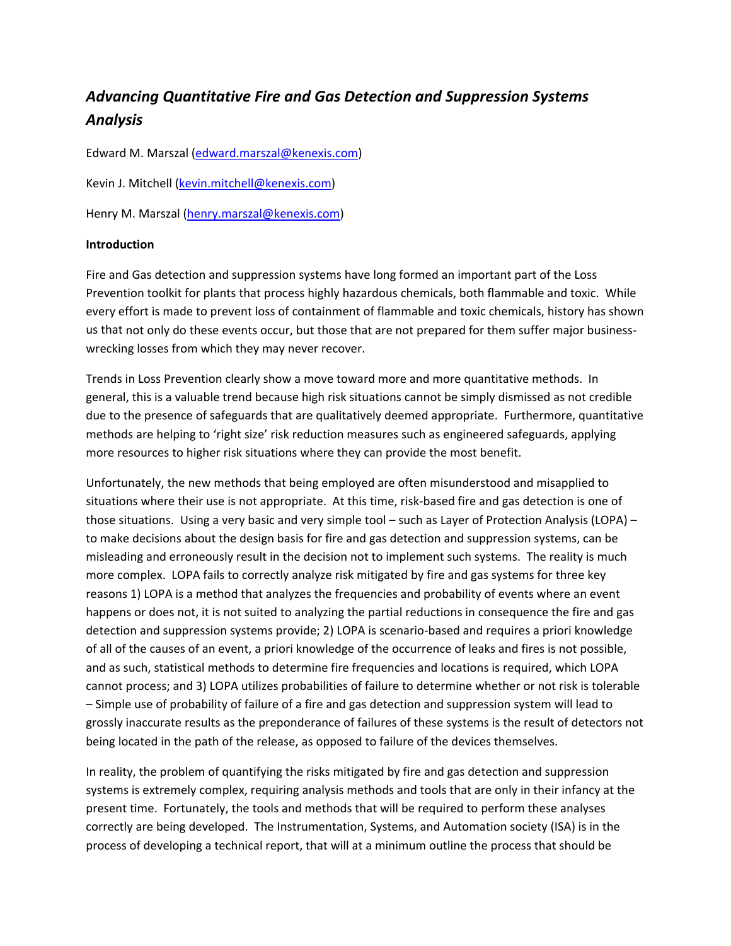# *Advancing Quantitative Fire and Gas Detection and Suppression Systems Analysis*

Edward M. Marszal (edward.marszal@kenexis.com)

Kevin J. Mitchell (kevin.mitchell@kenexis.com)

Henry M. Marszal (henry.marszal@kenexis.com)

## **Introduction**

Fire and Gas detection and suppression systems have long formed an important part of the Loss Prevention toolkit for plants that process highly hazardous chemicals, both flammable and toxic. While every effort is made to prevent loss of containment of flammable and toxic chemicals, history has shown us that not only do these events occur, but those that are not prepared for them suffer major businesswrecking losses from which they may never recover.

Trends in Loss Prevention clearly show a move toward more and more quantitative methods. In general, this is a valuable trend because high risk situations cannot be simply dismissed as not credible due to the presence of safeguards that are qualitatively deemed appropriate. Furthermore, quantitative methods are helping to 'right size' risk reduction measures such as engineered safeguards, applying more resources to higher risk situations where they can provide the most benefit.

Unfortunately, the new methods that being employed are often misunderstood and misapplied to situations where their use is not appropriate. At this time, risk‐based fire and gas detection is one of those situations. Using a very basic and very simple tool – such as Layer of Protection Analysis (LOPA) – to make decisions about the design basis for fire and gas detection and suppression systems, can be misleading and erroneously result in the decision not to implement such systems. The reality is much more complex. LOPA fails to correctly analyze risk mitigated by fire and gas systems for three key reasons 1) LOPA is a method that analyzes the frequencies and probability of events where an event happens or does not, it is not suited to analyzing the partial reductions in consequence the fire and gas detection and suppression systems provide; 2) LOPA is scenario‐based and requires a priori knowledge of all of the causes of an event, a priori knowledge of the occurrence of leaks and fires is not possible, and as such, statistical methods to determine fire frequencies and locations is required, which LOPA cannot process; and 3) LOPA utilizes probabilities of failure to determine whether or not risk is tolerable – Simple use of probability of failure of a fire and gas detection and suppression system will lead to grossly inaccurate results as the preponderance of failures of these systems is the result of detectors not being located in the path of the release, as opposed to failure of the devices themselves.

In reality, the problem of quantifying the risks mitigated by fire and gas detection and suppression systems is extremely complex, requiring analysis methods and tools that are only in their infancy at the present time. Fortunately, the tools and methods that will be required to perform these analyses correctly are being developed. The Instrumentation, Systems, and Automation society (ISA) is in the process of developing a technical report, that will at a minimum outline the process that should be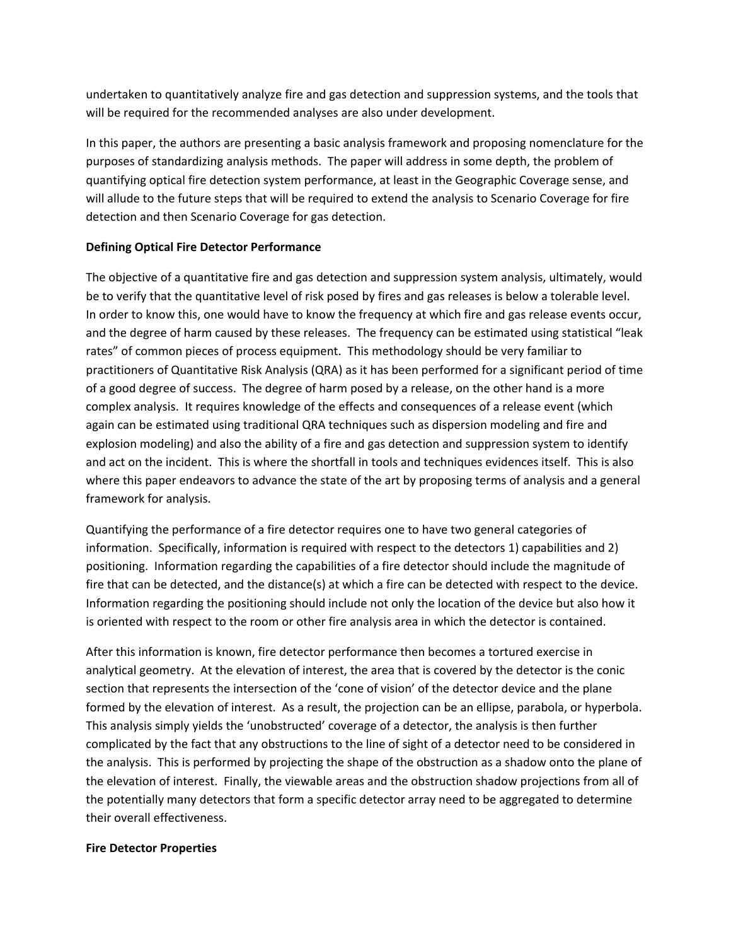undertaken to quantitatively analyze fire and gas detection and suppression systems, and the tools that will be required for the recommended analyses are also under development.

In this paper, the authors are presenting a basic analysis framework and proposing nomenclature for the purposes of standardizing analysis methods. The paper will address in some depth, the problem of quantifying optical fire detection system performance, at least in the Geographic Coverage sense, and will allude to the future steps that will be required to extend the analysis to Scenario Coverage for fire detection and then Scenario Coverage for gas detection.

# **Defining Optical Fire Detector Performance**

The objective of a quantitative fire and gas detection and suppression system analysis, ultimately, would be to verify that the quantitative level of risk posed by fires and gas releases is below a tolerable level. In order to know this, one would have to know the frequency at which fire and gas release events occur, and the degree of harm caused by these releases. The frequency can be estimated using statistical "leak rates" of common pieces of process equipment. This methodology should be very familiar to practitioners of Quantitative Risk Analysis (QRA) as it has been performed for a significant period of time of a good degree of success. The degree of harm posed by a release, on the other hand is a more complex analysis. It requires knowledge of the effects and consequences of a release event (which again can be estimated using traditional QRA techniques such as dispersion modeling and fire and explosion modeling) and also the ability of a fire and gas detection and suppression system to identify and act on the incident. This is where the shortfall in tools and techniques evidences itself. This is also where this paper endeavors to advance the state of the art by proposing terms of analysis and a general framework for analysis.

Quantifying the performance of a fire detector requires one to have two general categories of information. Specifically, information is required with respect to the detectors 1) capabilities and 2) positioning. Information regarding the capabilities of a fire detector should include the magnitude of fire that can be detected, and the distance(s) at which a fire can be detected with respect to the device. Information regarding the positioning should include not only the location of the device but also how it is oriented with respect to the room or other fire analysis area in which the detector is contained.

After this information is known, fire detector performance then becomes a tortured exercise in analytical geometry. At the elevation of interest, the area that is covered by the detector is the conic section that represents the intersection of the 'cone of vision' of the detector device and the plane formed by the elevation of interest. As a result, the projection can be an ellipse, parabola, or hyperbola. This analysis simply yields the 'unobstructed' coverage of a detector, the analysis is then further complicated by the fact that any obstructions to the line of sight of a detector need to be considered in the analysis. This is performed by projecting the shape of the obstruction as a shadow onto the plane of the elevation of interest. Finally, the viewable areas and the obstruction shadow projections from all of the potentially many detectors that form a specific detector array need to be aggregated to determine their overall effectiveness.

## **Fire Detector Properties**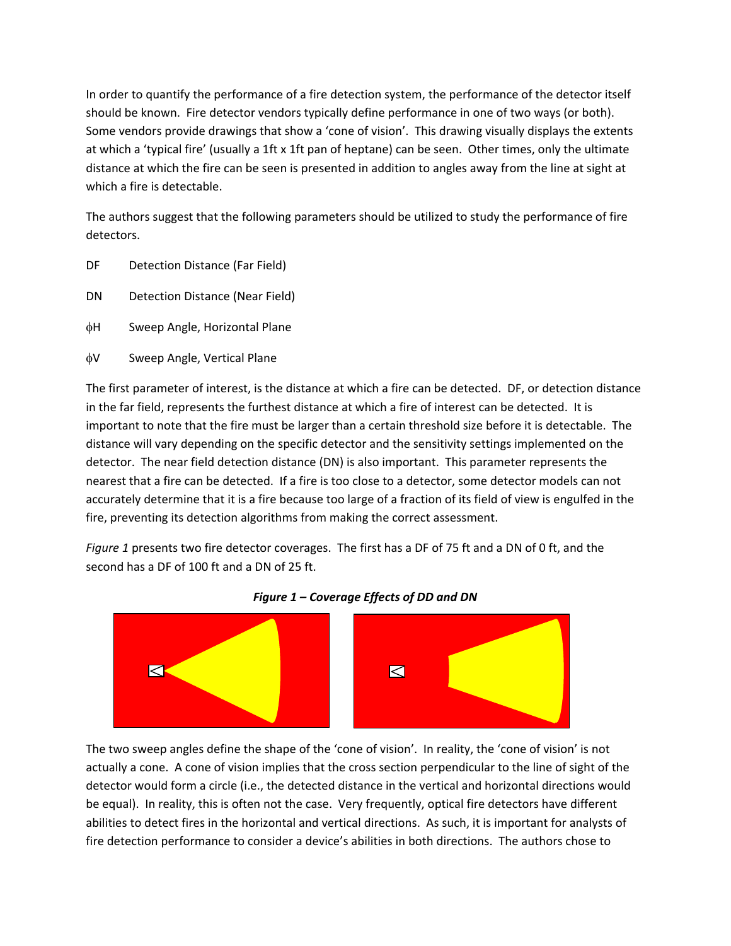In order to quantify the performance of a fire detection system, the performance of the detector itself should be known. Fire detector vendors typically define performance in one of two ways (or both). Some vendors provide drawings that show a 'cone of vision'. This drawing visually displays the extents at which a 'typical fire' (usually a 1ft x 1ft pan of heptane) can be seen. Other times, only the ultimate distance at which the fire can be seen is presented in addition to angles away from the line at sight at which a fire is detectable.

The authors suggest that the following parameters should be utilized to study the performance of fire detectors.

- DF Detection Distance (Far Field)
- DN Detection Distance (Near Field)
- H Sweep Angle, Horizontal Plane
- V Sweep Angle, Vertical Plane

The first parameter of interest, is the distance at which a fire can be detected. DF, or detection distance in the far field, represents the furthest distance at which a fire of interest can be detected. It is important to note that the fire must be larger than a certain threshold size before it is detectable. The distance will vary depending on the specific detector and the sensitivity settings implemented on the detector. The near field detection distance (DN) is also important. This parameter represents the nearest that a fire can be detected. If a fire is too close to a detector, some detector models can not accurately determine that it is a fire because too large of a fraction of its field of view is engulfed in the fire, preventing its detection algorithms from making the correct assessment.

*Figure 1* presents two fire detector coverages. The first has a DF of 75 ft and a DN of 0 ft, and the second has a DF of 100 ft and a DN of 25 ft.





The two sweep angles define the shape of the 'cone of vision'. In reality, the 'cone of vision' is not actually a cone. A cone of vision implies that the cross section perpendicular to the line of sight of the detector would form a circle (i.e., the detected distance in the vertical and horizontal directions would be equal). In reality, this is often not the case. Very frequently, optical fire detectors have different abilities to detect fires in the horizontal and vertical directions. As such, it is important for analysts of fire detection performance to consider a device's abilities in both directions. The authors chose to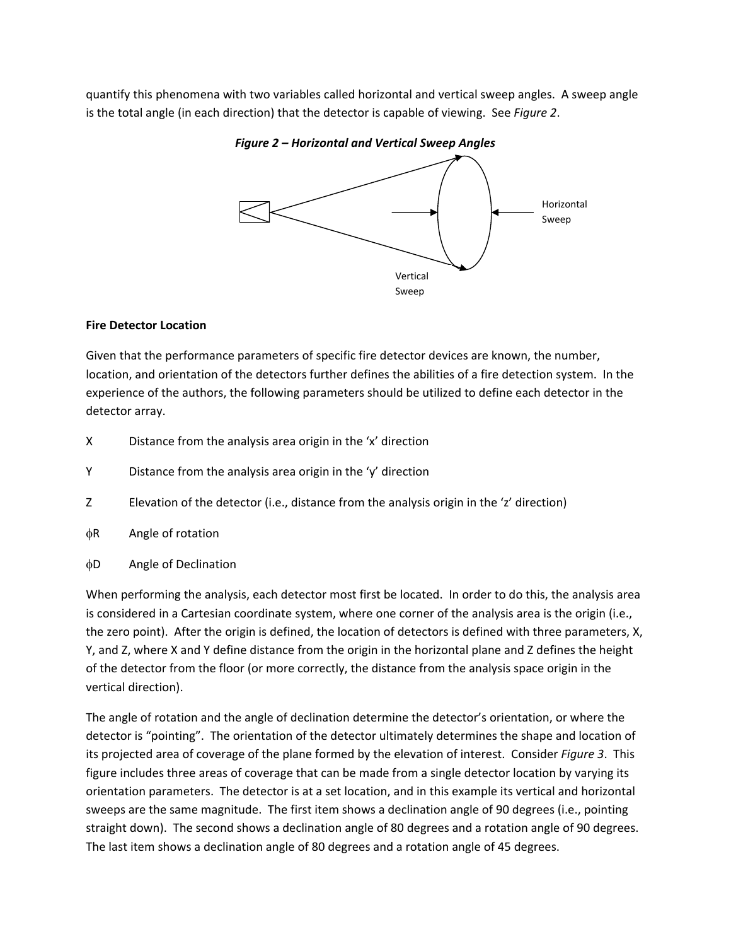quantify this phenomena with two variables called horizontal and vertical sweep angles. A sweep angle is the total angle (in each direction) that the detector is capable of viewing. See *Figure 2*.

Horizontal Sweep Vertical Sweep

*Figure 2 – Horizontal and Vertical Sweep Angles*

## **Fire Detector Location**

Given that the performance parameters of specific fire detector devices are known, the number, location, and orientation of the detectors further defines the abilities of a fire detection system. In the experience of the authors, the following parameters should be utilized to define each detector in the detector array.

- X Distance from the analysis area origin in the 'x' direction
- Y Distance from the analysis area origin in the 'y' direction
- Z Elevation of the detector (i.e., distance from the analysis origin in the 'z' direction)
- $\phi$ R Angle of rotation
- D Angle of Declination

When performing the analysis, each detector most first be located. In order to do this, the analysis area is considered in a Cartesian coordinate system, where one corner of the analysis area is the origin (i.e., the zero point). After the origin is defined, the location of detectors is defined with three parameters, X, Y, and Z, where X and Y define distance from the origin in the horizontal plane and Z defines the height of the detector from the floor (or more correctly, the distance from the analysis space origin in the vertical direction).

The angle of rotation and the angle of declination determine the detector's orientation, or where the detector is "pointing". The orientation of the detector ultimately determines the shape and location of its projected area of coverage of the plane formed by the elevation of interest. Consider *Figure 3*. This figure includes three areas of coverage that can be made from a single detector location by varying its orientation parameters. The detector is at a set location, and in this example its vertical and horizontal sweeps are the same magnitude. The first item shows a declination angle of 90 degrees (i.e., pointing straight down). The second shows a declination angle of 80 degrees and a rotation angle of 90 degrees. The last item shows a declination angle of 80 degrees and a rotation angle of 45 degrees.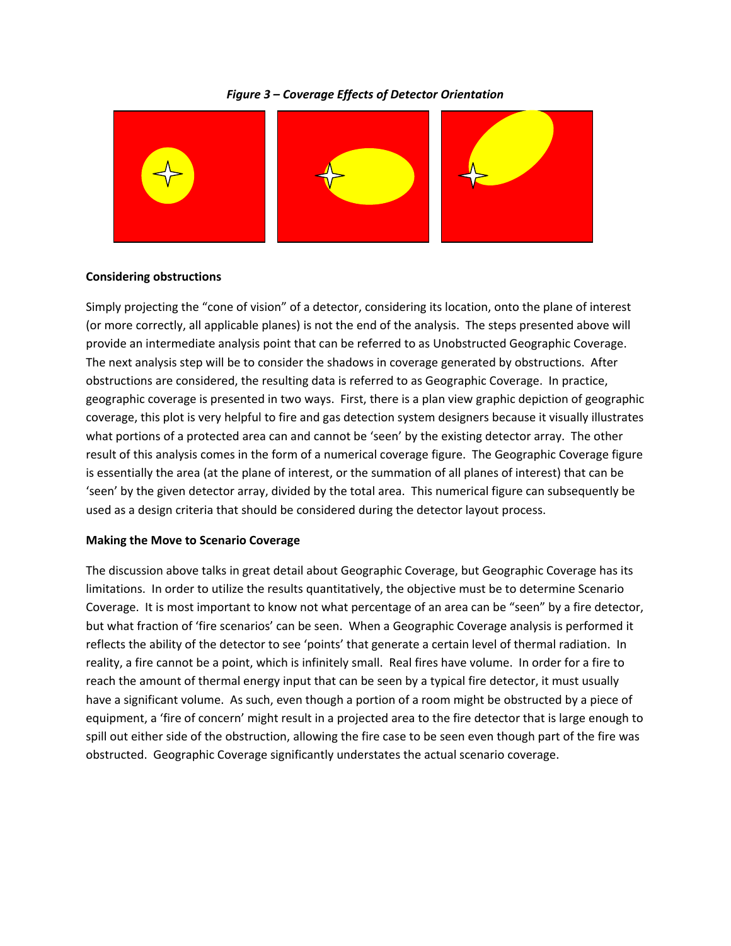#### *Figure 3 – Coverage Effects of Detector Orientation*



#### **Considering obstructions**

Simply projecting the "cone of vision" of a detector, considering its location, onto the plane of interest (or more correctly, all applicable planes) is not the end of the analysis. The steps presented above will provide an intermediate analysis point that can be referred to as Unobstructed Geographic Coverage. The next analysis step will be to consider the shadows in coverage generated by obstructions. After obstructions are considered, the resulting data is referred to as Geographic Coverage. In practice, geographic coverage is presented in two ways. First, there is a plan view graphic depiction of geographic coverage, this plot is very helpful to fire and gas detection system designers because it visually illustrates what portions of a protected area can and cannot be 'seen' by the existing detector array. The other result of this analysis comes in the form of a numerical coverage figure. The Geographic Coverage figure is essentially the area (at the plane of interest, or the summation of all planes of interest) that can be 'seen' by the given detector array, divided by the total area. This numerical figure can subsequently be used as a design criteria that should be considered during the detector layout process.

#### **Making the Move to Scenario Coverage**

The discussion above talks in great detail about Geographic Coverage, but Geographic Coverage has its limitations. In order to utilize the results quantitatively, the objective must be to determine Scenario Coverage. It is most important to know not what percentage of an area can be "seen" by a fire detector, but what fraction of 'fire scenarios' can be seen. When a Geographic Coverage analysis is performed it reflects the ability of the detector to see 'points' that generate a certain level of thermal radiation. In reality, a fire cannot be a point, which is infinitely small. Real fires have volume. In order for a fire to reach the amount of thermal energy input that can be seen by a typical fire detector, it must usually have a significant volume. As such, even though a portion of a room might be obstructed by a piece of equipment, a 'fire of concern' might result in a projected area to the fire detector that is large enough to spill out either side of the obstruction, allowing the fire case to be seen even though part of the fire was obstructed. Geographic Coverage significantly understates the actual scenario coverage.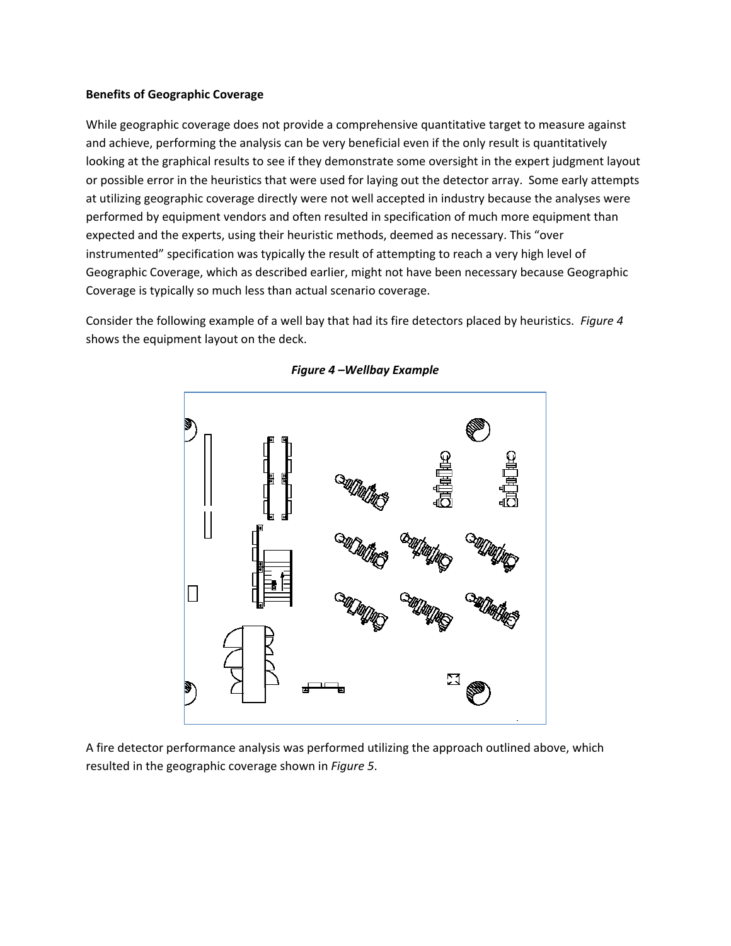## **Benefits of Geographic Coverage**

While geographic coverage does not provide a comprehensive quantitative target to measure against and achieve, performing the analysis can be very beneficial even if the only result is quantitatively looking at the graphical results to see if they demonstrate some oversight in the expert judgment layout or possible error in the heuristics that were used for laying out the detector array. Some early attempts at utilizing geographic coverage directly were not well accepted in industry because the analyses were performed by equipment vendors and often resulted in specification of much more equipment than expected and the experts, using their heuristic methods, deemed as necessary. This "over instrumented" specification was typically the result of attempting to reach a very high level of Geographic Coverage, which as described earlier, might not have been necessary because Geographic Coverage is typically so much less than actual scenario coverage.

Consider the following example of a well bay that had its fire detectors placed by heuristics. *Figure 4* shows the equipment layout on the deck.



## *Figure 4 –Wellbay Example*

A fire detector performance analysis was performed utilizing the approach outlined above, which resulted in the geographic coverage shown in *Figure 5*.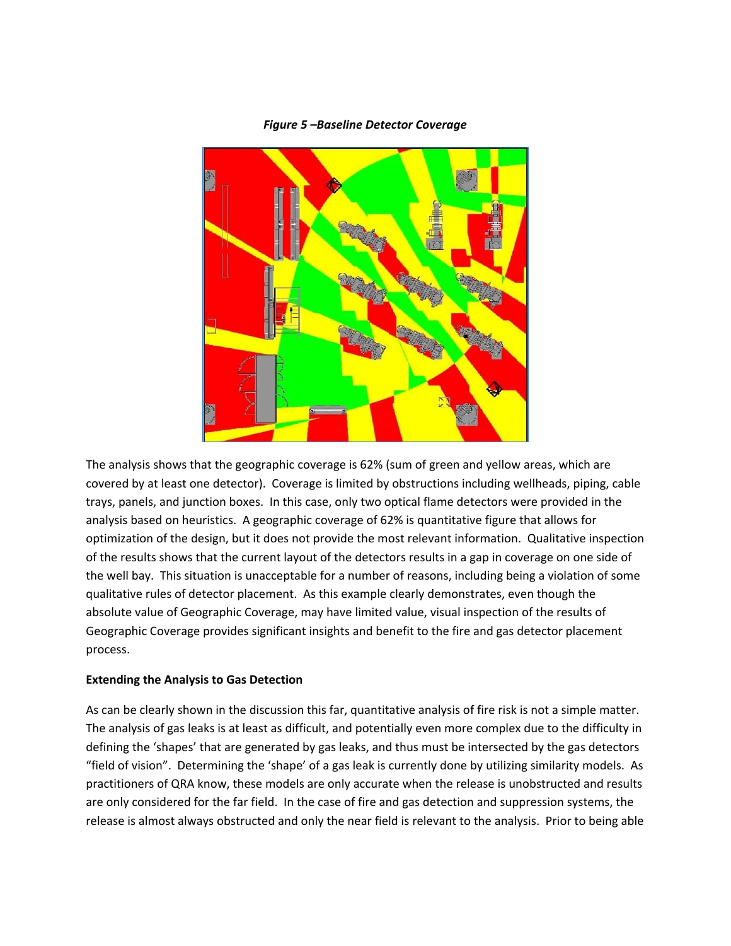

## *Figure 5 –Baseline Detector Coverage*

The analysis shows that the geographic coverage is 62% (sum of green and yellow areas, which are covered by at least one detector). Coverage is limited by obstructions including wellheads, piping, cable trays, panels, and junction boxes. In this case, only two optical flame detectors were provided in the analysis based on heuristics. A geographic coverage of 62% is quantitative figure that allows for optimization of the design, but it does not provide the most relevant information. Qualitative inspection of the results shows that the current layout of the detectors results in a gap in coverage on one side of the well bay. This situation is unacceptable for a number of reasons, including being a violation of some qualitative rules of detector placement. As this example clearly demonstrates, even though the absolute value of Geographic Coverage, may have limited value, visual inspection of the results of Geographic Coverage provides significant insights and benefit to the fire and gas detector placement process.

## **Extending the Analysis to Gas Detection**

As can be clearly shown in the discussion this far, quantitative analysis of fire risk is not a simple matter. The analysis of gas leaks is at least as difficult, and potentially even more complex due to the difficulty in defining the 'shapes' that are generated by gas leaks, and thus must be intersected by the gas detectors "field of vision". Determining the 'shape' of a gas leak is currently done by utilizing similarity models. As practitioners of QRA know, these models are only accurate when the release is unobstructed and results are only considered for the far field. In the case of fire and gas detection and suppression systems, the release is almost always obstructed and only the near field is relevant to the analysis. Prior to being able